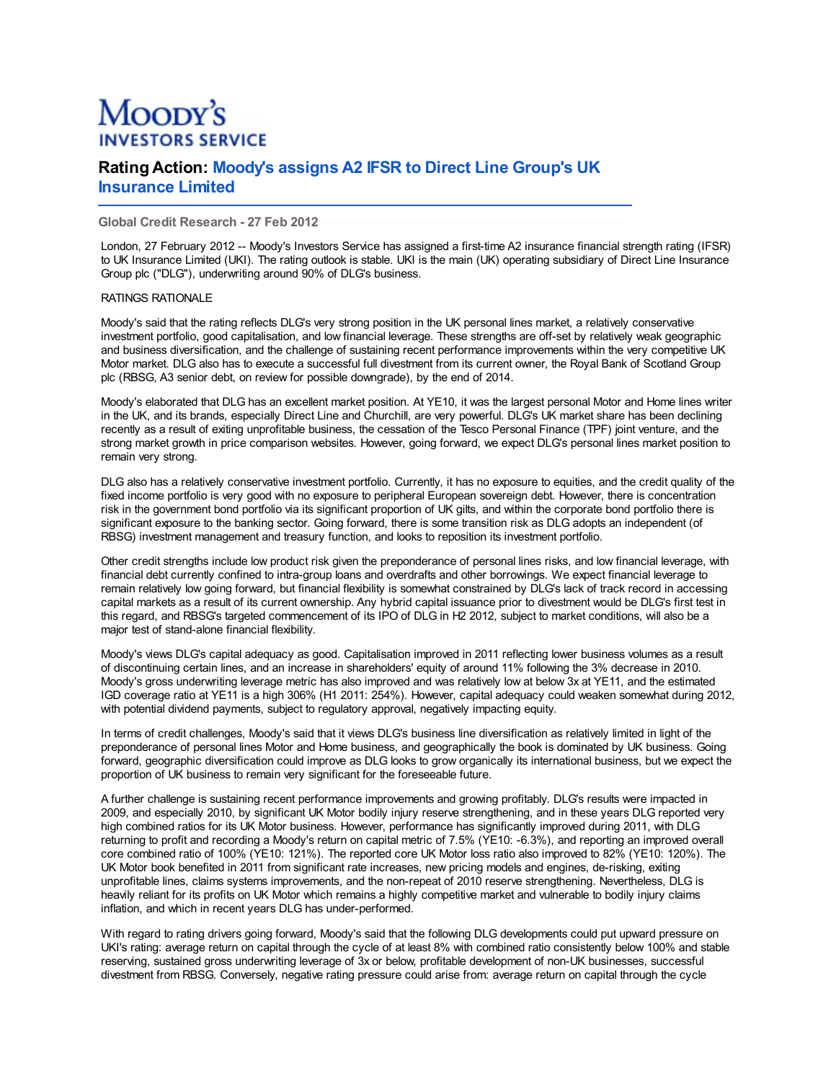# Moopy's **INVESTORS SERVICE**

# **Rating Action: Moody's assigns A2 IFSR to Direct Line Group's UK Insurance Limited**

## **Global Credit Research - 27 Feb 2012**

London, 27 February 2012 -- Moody's Investors Service has assigned a first-time A2 insurance financial strength rating (IFSR) to UK Insurance Limited (UKI). The rating outlook is stable. UKI is the main (UK) operating subsidiary of Direct Line Insurance Group plc ("DLG"), underwriting around 90% of DLG's business.

### RATINGS RATIONALE

Moody's said that the rating reflects DLG's very strong position in the UK personal lines market, a relatively conservative investment portfolio, good capitalisation, and low financial leverage. These strengths are off-set by relatively weak geographic and business diversification, and the challenge of sustaining recent performance improvements within the very competitive UK Motor market. DLG also has to execute a successful full divestment from its current owner, the Royal Bank of Scotland Group plc (RBSG, A3 senior debt, on review for possible downgrade), by the end of 2014.

Moody's elaborated that DLG has an excellent market position. At YE10, it was the largest personal Motor and Home lines writer in the UK, and its brands, especially Direct Line and Churchill, are very powerful. DLG's UK market share has been declining recently as a result of exiting unprofitable business, the cessation of the Tesco Personal Finance (TPF) joint venture, and the strong market growth in price comparison websites. However, going forward, we expect DLG's personal lines market position to remain very strong.

DLG also has a relatively conservative investment portfolio. Currently, it has no exposure to equities, and the credit quality of the fixed income portfolio is very good with no exposure to peripheral European sovereign debt. However, there is concentration risk in the government bond portfolio via its significant proportion of UK gilts, and within the corporate bond portfolio there is significant exposure to the banking sector. Going forward, there is some transition risk as DLG adopts an independent (of RBSG) investment management and treasury function, and looks to reposition its investment portfolio.

Other credit strengths include low product risk given the preponderance of personal lines risks, and low financial leverage, with financial debt currently confined to intra-group loans and overdrafts and other borrowings. We expect financial leverage to remain relatively low going forward, but financial flexibility is somewhat constrained by DLG's lack of track record in accessing capital markets as a result of its current ownership. Any hybrid capital issuance prior to divestment would be DLG's first test in this regard, and RBSG's targeted commencement of its IPO of DLG in H2 2012, subject to market conditions, will also be a major test of stand-alone financial flexibility.

Moody's views DLG's capital adequacy as good. Capitalisation improved in 2011 reflecting lower business volumes as a result of discontinuing certain lines, and an increase in shareholders' equity of around 11% following the 3% decrease in 2010. Moody's gross underwriting leverage metric has also improved and was relatively low at below 3x at YE11, and the estimated IGD coverage ratio at YE11 is a high 306% (H1 2011: 254%). However, capital adequacy could weaken somewhat during 2012, with potential dividend payments, subject to regulatory approval, negatively impacting equity.

In terms of credit challenges, Moody's said that it views DLG's business line diversification as relatively limited in light of the preponderance of personal lines Motor and Home business, and geographically the book is dominated by UK business. Going forward, geographic diversification could improve as DLG looks to grow organically its international business, but we expect the proportion of UK business to remain very significant for the foreseeable future.

A further challenge is sustaining recent performance improvements and growing profitably. DLG's results were impacted in 2009, and especially 2010, by significant UK Motor bodily injury reserve strengthening, and in these years DLG reported very high combined ratios for its UK Motor business. However, performance has significantly improved during 2011, with DLG returning to profit and recording a Moody's return on capital metric of 7.5% (YE10: -6.3%), and reporting an improved overall core combined ratio of 100% (YE10: 121%). The reported core UK Motor loss ratio also improved to 82% (YE10: 120%). The UK Motor book benefited in 2011 from significant rate increases, new pricing models and engines, de-risking, exiting unprofitable lines, claims systems improvements, and the non-repeat of 2010 reserve strengthening. Nevertheless, DLG is heavily reliant for its profits on UK Motor which remains a highly competitive market and vulnerable to bodily injury claims inflation, and which in recent years DLG has under-performed.

With regard to rating drivers going forward, Moody's said that the following DLG developments could put upward pressure on UKI's rating: average return on capital through the cycle of at least 8% with combined ratio consistently below 100% and stable reserving, sustained gross underwriting leverage of 3x or below, profitable development of non-UK businesses, successful divestment from RBSG. Conversely, negative rating pressure could arise from: average return on capital through the cycle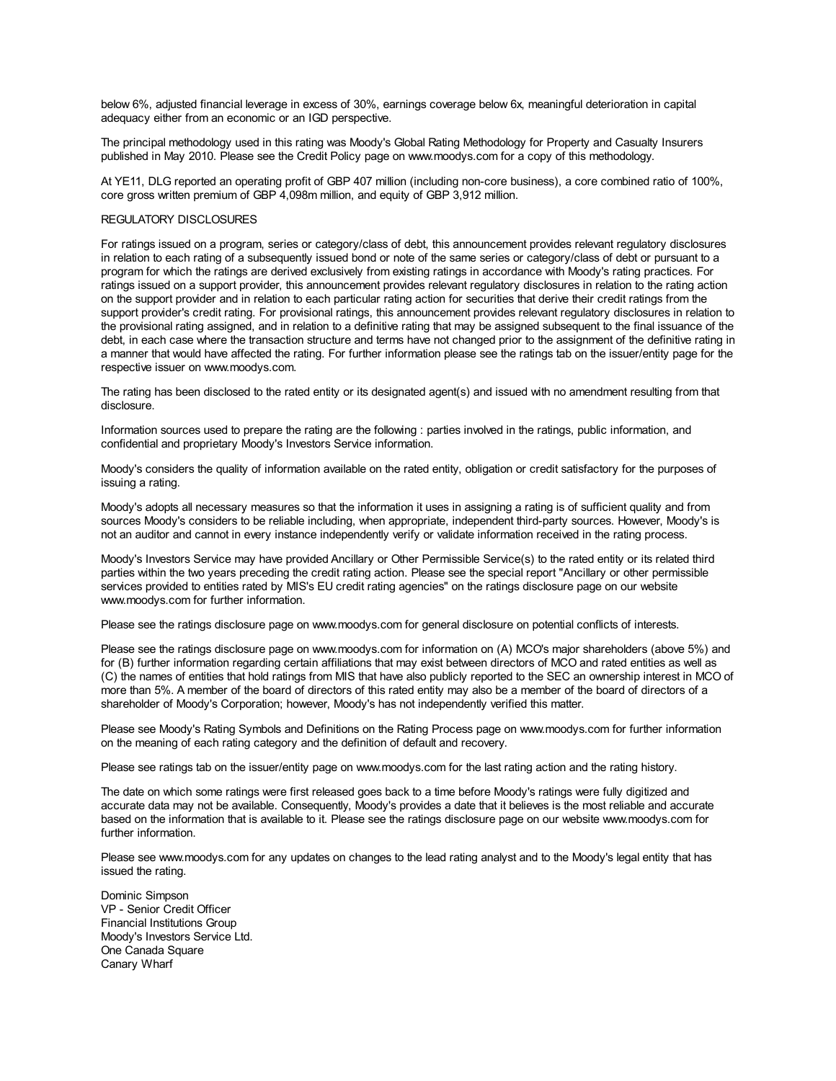below 6%, adjusted financial leverage in excess of 30%, earnings coverage below 6x, meaningful deterioration in capital adequacy either from an economic or an IGD perspective.

The principal methodology used in this rating was Moody's Global Rating Methodology for Property and Casualty Insurers published in May 2010. Please see the Credit Policy page on www.moodys.com for a copy of this methodology.

At YE11, DLG reported an operating profit of GBP 407 million (including non-core business), a core combined ratio of 100%, core gross written premium of GBP 4,098m million, and equity of GBP 3,912 million.

#### REGULATORY DISCLOSURES

For ratings issued on a program, series or category/class of debt, this announcement provides relevant regulatory disclosures in relation to each rating of a subsequently issued bond or note of the same series or category/class of debt or pursuant to a program for which the ratings are derived exclusively from existing ratings in accordance with Moody's rating practices. For ratings issued on a support provider, this announcement provides relevant regulatory disclosures in relation to the rating action on the support provider and in relation to each particular rating action for securities that derive their credit ratings from the support provider's credit rating. For provisional ratings, this announcement provides relevant regulatory disclosures in relation to the provisional rating assigned, and in relation to a definitive rating that may be assigned subsequent to the final issuance of the debt, in each case where the transaction structure and terms have not changed prior to the assignment of the definitive rating in a manner that would have affected the rating. For further information please see the ratings tab on the issuer/entity page for the respective issuer on www.moodys.com.

The rating has been disclosed to the rated entity or its designated agent(s) and issued with no amendment resulting from that disclosure.

Information sources used to prepare the rating are the following : parties involved in the ratings, public information, and confidential and proprietary Moody's Investors Service information.

Moody's considers the quality of information available on the rated entity, obligation or credit satisfactory for the purposes of issuing a rating.

Moody's adopts all necessary measures so that the information it uses in assigning a rating is of sufficient quality and from sources Moody's considers to be reliable including, when appropriate, independent third-party sources. However, Moody's is not an auditor and cannot in every instance independently verify or validate information received in the rating process.

Moody's Investors Service may have provided Ancillary or Other Permissible Service(s) to the rated entity or its related third parties within the two years preceding the credit rating action. Please see the special report "Ancillary or other permissible services provided to entities rated by MIS's EU credit rating agencies" on the ratings disclosure page on our website www.moodys.com for further information.

Please see the ratings disclosure page on www.moodys.com for general disclosure on potential conflicts of interests.

Please see the ratings disclosure page on www.moodys.com for information on (A) MCO's major shareholders (above 5%) and for (B) further information regarding certain affiliations that may exist between directors of MCO and rated entities as well as (C) the names of entities that hold ratings from MIS that have also publicly reported to the SEC an ownership interest in MCO of more than 5%. A member of the board of directors of this rated entity may also be a member of the board of directors of a shareholder of Moody's Corporation; however, Moody's has not independently verified this matter.

Please see Moody's Rating Symbols and Definitions on the Rating Process page on www.moodys.com for further information on the meaning of each rating category and the definition of default and recovery.

Please see ratings tab on the issuer/entity page on www.moodys.com for the last rating action and the rating history.

The date on which some ratings were first released goes back to a time before Moody's ratings were fully digitized and accurate data may not be available. Consequently, Moody's provides a date that it believes is the most reliable and accurate based on the information that is available to it. Please see the ratings disclosure page on our website www.moodys.com for further information.

Please see www.moodys.com for any updates on changes to the lead rating analyst and to the Moody's legal entity that has issued the rating.

Dominic Simpson VP - Senior Credit Officer Financial Institutions Group Moody's Investors Service Ltd. One Canada Square Canary Wharf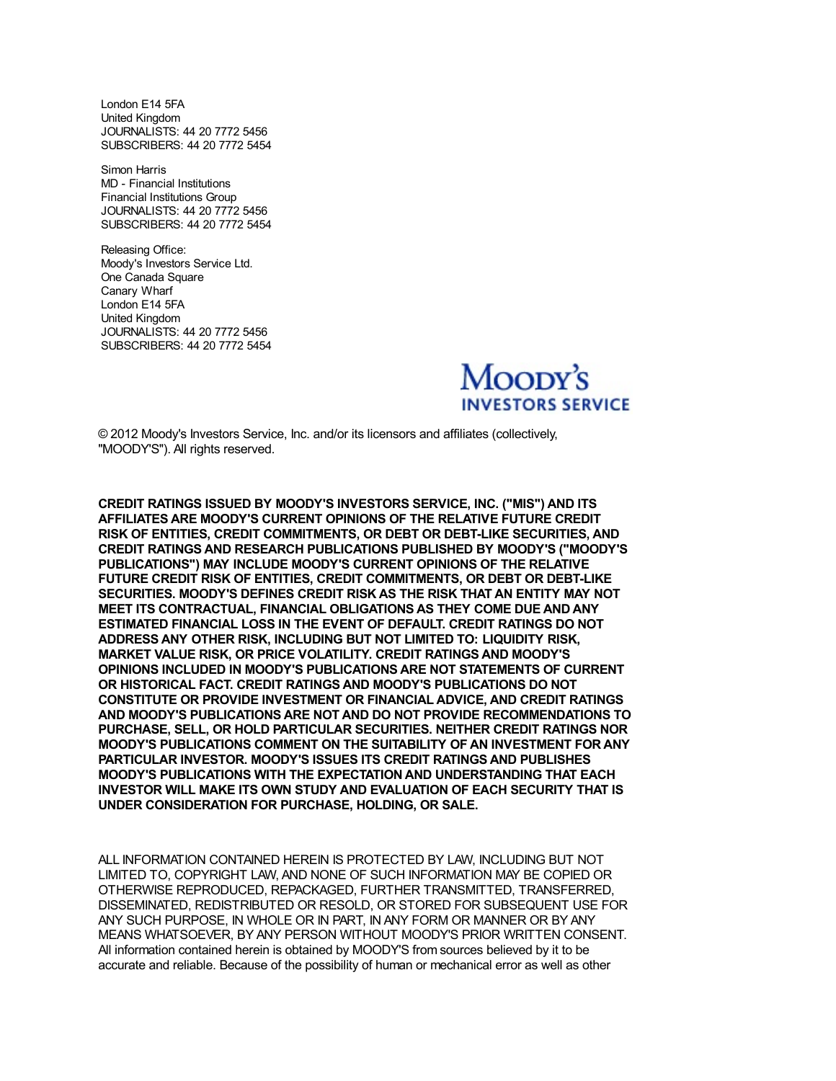London E14 5FA United Kingdom JOURNALISTS: 44 20 7772 5456 SUBSCRIBERS: 44 20 7772 5454

Simon Harris MD - Financial Institutions Financial Institutions Group JOURNALISTS: 44 20 7772 5456 SUBSCRIBERS: 44 20 7772 5454

Releasing Office: Moody's Investors Service Ltd. One Canada Square Canary Wharf London E14 5FA United Kingdom JOURNALISTS: 44 20 7772 5456 SUBSCRIBERS: 44 20 7772 5454



© 2012 Moody's Investors Service, Inc. and/or its licensors and affiliates (collectively, "MOODY'S"). All rights reserved.

**CREDIT RATINGS ISSUED BY MOODY'S INVESTORS SERVICE, INC. ("MIS") AND ITS AFFILIATES ARE MOODY'S CURRENT OPINIONS OF THE RELATIVE FUTURE CREDIT RISK OF ENTITIES, CREDIT COMMITMENTS, OR DEBT OR DEBT-LIKE SECURITIES, AND CREDIT RATINGS AND RESEARCH PUBLICATIONS PUBLISHED BY MOODY'S ("MOODY'S PUBLICATIONS") MAY INCLUDE MOODY'S CURRENT OPINIONS OF THE RELATIVE FUTURE CREDIT RISK OF ENTITIES, CREDIT COMMITMENTS, OR DEBT OR DEBT-LIKE SECURITIES. MOODY'S DEFINES CREDIT RISK AS THE RISK THAT AN ENTITY MAY NOT MEET ITS CONTRACTUAL, FINANCIAL OBLIGATIONS AS THEY COME DUE AND ANY ESTIMATED FINANCIAL LOSS IN THE EVENT OF DEFAULT. CREDIT RATINGS DO NOT ADDRESS ANY OTHER RISK, INCLUDING BUT NOT LIMITED TO: LIQUIDITY RISK, MARKET VALUE RISK, OR PRICE VOLATILITY. CREDIT RATINGS AND MOODY'S OPINIONS INCLUDED IN MOODY'S PUBLICATIONS ARE NOT STATEMENTS OF CURRENT OR HISTORICAL FACT. CREDIT RATINGS AND MOODY'S PUBLICATIONS DO NOT CONSTITUTE OR PROVIDE INVESTMENT OR FINANCIAL ADVICE, AND CREDIT RATINGS AND MOODY'S PUBLICATIONS ARE NOT AND DO NOT PROVIDE RECOMMENDATIONS TO PURCHASE, SELL, OR HOLD PARTICULAR SECURITIES. NEITHER CREDIT RATINGS NOR MOODY'S PUBLICATIONS COMMENT ON THE SUITABILITY OF AN INVESTMENT FOR ANY PARTICULAR INVESTOR. MOODY'S ISSUES ITS CREDIT RATINGS AND PUBLISHES MOODY'S PUBLICATIONS WITH THE EXPECTATION AND UNDERSTANDING THAT EACH INVESTOR WILL MAKE ITS OWN STUDY AND EVALUATION OF EACH SECURITY THAT IS UNDER CONSIDERATION FOR PURCHASE, HOLDING, OR SALE.**

ALL INFORMATION CONTAINED HEREIN IS PROTECTED BY LAW, INCLUDING BUT NOT LIMITED TO, COPYRIGHT LAW, AND NONE OF SUCH INFORMATION MAY BE COPIED OR OTHERWISE REPRODUCED, REPACKAGED, FURTHER TRANSMITTED, TRANSFERRED, DISSEMINATED, REDISTRIBUTED OR RESOLD, OR STORED FOR SUBSEQUENT USE FOR ANY SUCH PURPOSE, IN WHOLE OR IN PART, IN ANY FORM OR MANNER OR BY ANY MEANS WHATSOEVER, BY ANY PERSON WITHOUT MOODY'S PRIOR WRITTEN CONSENT. All information contained herein is obtained by MOODY'S from sources believed by it to be accurate and reliable. Because of the possibility of human or mechanical error as well as other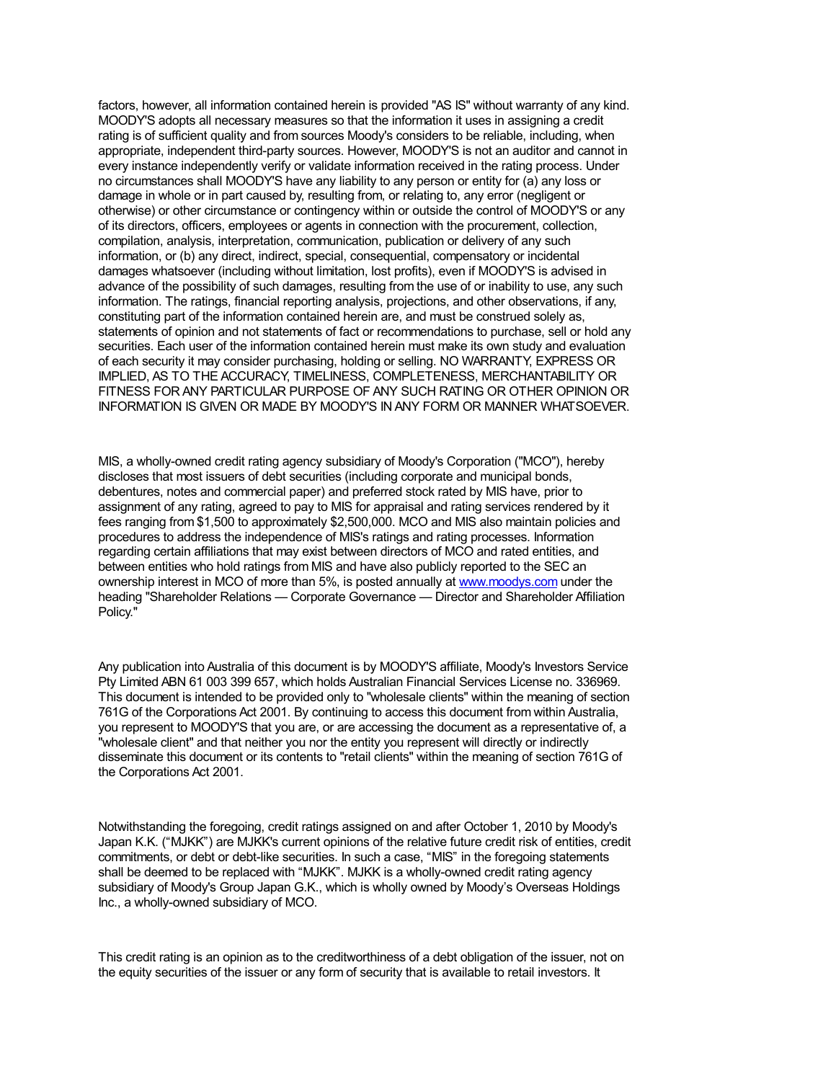factors, however, all information contained herein is provided "AS IS" without warranty of any kind. MOODY'S adopts all necessary measures so that the information it uses in assigning a credit rating is of sufficient quality and from sources Moody's considers to be reliable, including, when appropriate, independent third-party sources. However, MOODY'S is not an auditor and cannot in every instance independently verify or validate information received in the rating process. Under no circumstances shall MOODY'S have any liability to any person or entity for (a) any loss or damage in whole or in part caused by, resulting from, or relating to, any error (negligent or otherwise) or other circumstance or contingency within or outside the control of MOODY'S or any of its directors, officers, employees or agents in connection with the procurement, collection, compilation, analysis, interpretation, communication, publication or delivery of any such information, or (b) any direct, indirect, special, consequential, compensatory or incidental damages whatsoever (including without limitation, lost profits), even if MOODY'S is advised in advance of the possibility of such damages, resulting from the use of or inability to use, any such information. The ratings, financial reporting analysis, projections, and other observations, if any, constituting part of the information c[ontained](http://www.moodys.com/) herein are, and must be construed solely as, statements of opinion and not statements of fact or recommendations to purchase, sell or hold any securities. Each user of the information contained herein must make its own study and evaluation of each security it may consider purchasing, holding or selling. NO WARRANTY, EXPRESS OR IMPLIED, AS TO THE ACCURACY, TIMELINESS, COMPLETENESS, MERCHANTABILITY OR FITNESS FOR ANY PARTICULAR PURPOSE OF ANY SUCH RATING OR OTHER OPINION OR INFORMATION IS GIVEN OR MADE BY MOODY'S IN ANY FORM OR MANNER WHATSOEVER.

MIS, a wholly-owned credit rating agency subsidiary of Moody's Corporation ("MCO"), hereby discloses that most issuers of debt securities (including corporate and municipal bonds, debentures, notes and commercial paper) and preferred stock rated by MIS have, prior to assignment of any rating, agreed to pay to MIS for appraisal and rating services rendered by it fees ranging from \$1,500 to approximately \$2,500,000. MCO and MIS also maintain policies and procedures to address the independence of MIS's ratings and rating processes. Information regarding certain affiliations that may exist between directors of MCO and rated entities, and between entities who hold ratings from MIS and have also publicly reported to the SEC an ownership interest in MCO of more than 5%, is posted annually at www.moodys.com under the heading "Shareholder Relations — Corporate Governance — Director and Shareholder Affiliation Policy."

Any publication into Australia of this document is by MOODY'S affiliate, Moody's Investors Service Pty Limited ABN 61 003 399 657, which holds Australian Financial Services License no. 336969. This document is intended to be provided only to "wholesale clients" within the meaning of section 761G of the Corporations Act 2001. By continuing to access this document from within Australia, you represent to MOODY'S that you are, or are accessing the document as a representative of, a "wholesale client" and that neither you nor the entity you represent will directly or indirectly disseminate this document or its contents to "retail clients" within the meaning of section 761G of the Corporations Act 2001.

Notwithstanding the foregoing, credit ratings assigned on and after October 1, 2010 by Moody's Japan K.K. ("MJKK") are MJKK's current opinions of the relative future credit risk of entities, credit commitments, or debt or debt-like securities. In such a case, "MIS" in the foregoing statements shall be deemed to be replaced with "MJKK". MJKK is a wholly-owned credit rating agency subsidiary of Moody's Group Japan G.K., which is wholly owned by Moody's Overseas Holdings Inc., a wholly-owned subsidiary of MCO.

This credit rating is an opinion as to the creditworthiness of a debt obligation of the issuer, not on the equity securities of the issuer or any form of security that is available to retail investors. It